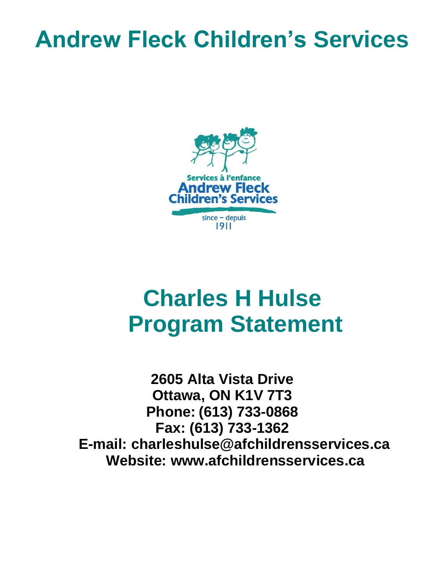# **Andrew Fleck Children's Services**



# **Charles H Hulse Program Statement**

**2605 Alta Vista Drive Ottawa, ON K1V 7T3 Phone: (613) 733-0868 Fax: (613) 733-1362 E-mail: charleshulse@afchildrensservices.ca Website: www.afchildrensservices.ca**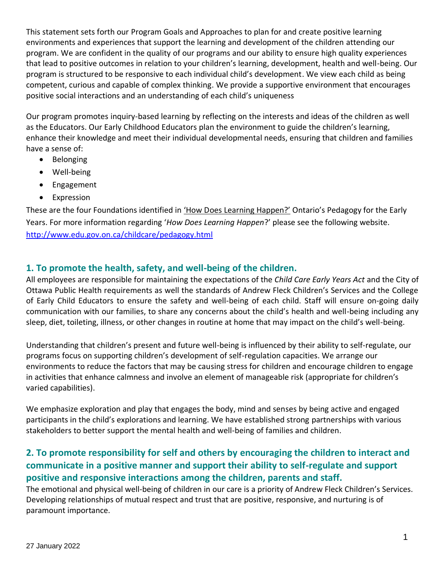This statement sets forth our Program Goals and Approaches to plan for and create positive learning environments and experiences that support the learning and development of the children attending our program. We are confident in the quality of our programs and our ability to ensure high quality experiences that lead to positive outcomes in relation to your children's learning, development, health and well-being. Our program is structured to be responsive to each individual child's development. We view each child as being competent, curious and capable of complex thinking. We provide a supportive environment that encourages positive social interactions and an understanding of each child's uniqueness

Our program promotes inquiry-based learning by reflecting on the interests and ideas of the children as well as the Educators. Our Early Childhood Educators plan the environment to guide the children's learning, enhance their knowledge and meet their individual developmental needs, ensuring that children and families have a sense of:

- Belonging
- Well-being
- Engagement
- Expression

These are the four Foundations identified in 'How Does Learning Happen?' Ontario's Pedagogy for the Early Years. For more information regarding '*How Does Learning Happen*?' please see the following website. <http://www.edu.gov.on.ca/childcare/pedagogy.html>

### **1. To promote the health, safety, and well-being of the children.**

All employees are responsible for maintaining the expectations of the *Child Care Early Years Act* and the City of Ottawa Public Health requirements as well the standards of Andrew Fleck Children's Services and the College of Early Child Educators to ensure the safety and well-being of each child. Staff will ensure on-going daily communication with our families, to share any concerns about the child's health and well-being including any sleep, diet, toileting, illness, or other changes in routine at home that may impact on the child's well-being.

Understanding that children's present and future well-being is influenced by their ability to self-regulate, our programs focus on supporting children's development of self-regulation capacities. We arrange our environments to reduce the factors that may be causing stress for children and encourage children to engage in activities that enhance calmness and involve an element of manageable risk (appropriate for children's varied capabilities).

We emphasize exploration and play that engages the body, mind and senses by being active and engaged participants in the child's explorations and learning. We have established strong partnerships with various stakeholders to better support the mental health and well-being of families and children.

## **2. To promote responsibility for self and others by encouraging the children to interact and communicate in a positive manner and support their ability to self-regulate and support positive and responsive interactions among the children, parents and staff.**

The emotional and physical well-being of children in our care is a priority of Andrew Fleck Children's Services. Developing relationships of mutual respect and trust that are positive, responsive, and nurturing is of paramount importance.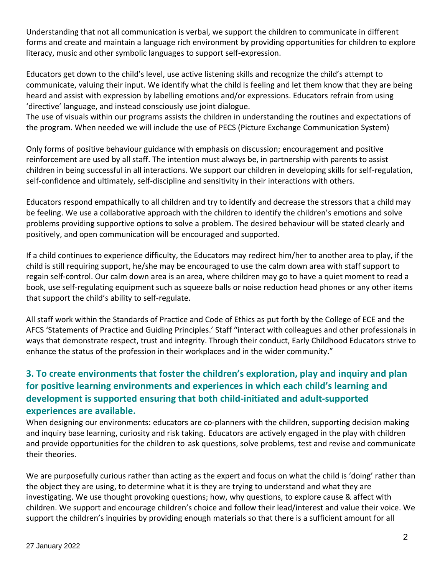Understanding that not all communication is verbal, we support the children to communicate in different forms and create and maintain a language rich environment by providing opportunities for children to explore literacy, music and other symbolic languages to support self-expression.

Educators get down to the child's level, use active listening skills and recognize the child's attempt to communicate, valuing their input. We identify what the child is feeling and let them know that they are being heard and assist with expression by labelling emotions and/or expressions. Educators refrain from using 'directive' language, and instead consciously use joint dialogue.

The use of visuals within our programs assists the children in understanding the routines and expectations of the program. When needed we will include the use of PECS (Picture Exchange Communication System)

Only forms of positive behaviour guidance with emphasis on discussion; encouragement and positive reinforcement are used by all staff. The intention must always be, in partnership with parents to assist children in being successful in all interactions. We support our children in developing skills for self-regulation, self-confidence and ultimately, self-discipline and sensitivity in their interactions with others.

Educators respond empathically to all children and try to identify and decrease the stressors that a child may be feeling. We use a collaborative approach with the children to identify the children's emotions and solve problems providing supportive options to solve a problem. The desired behaviour will be stated clearly and positively, and open communication will be encouraged and supported.

If a child continues to experience difficulty, the Educators may redirect him/her to another area to play, if the child is still requiring support, he/she may be encouraged to use the calm down area with staff support to regain self-control. Our calm down area is an area, where children may go to have a quiet moment to read a book, use self-regulating equipment such as squeeze balls or noise reduction head phones or any other items that support the child's ability to self-regulate.

All staff work within the Standards of Practice and Code of Ethics as put forth by the College of ECE and the AFCS 'Statements of Practice and Guiding Principles.' Staff "interact with colleagues and other professionals in ways that demonstrate respect, trust and integrity. Through their conduct, Early Childhood Educators strive to enhance the status of the profession in their workplaces and in the wider community."

## **3. To create environments that foster the children's exploration, play and inquiry and plan for positive learning environments and experiences in which each child's learning and development is supported ensuring that both child-initiated and adult-supported experiences are available.**

When designing our environments: educators are co-planners with the children, supporting decision making and inquiry base learning, curiosity and risk taking. Educators are actively engaged in the play with children and provide opportunities for the children to ask questions, solve problems, test and revise and communicate their theories.

We are purposefully curious rather than acting as the expert and focus on what the child is 'doing' rather than the object they are using, to determine what it is they are trying to understand and what they are investigating. We use thought provoking questions; how, why questions, to explore cause & affect with children. We support and encourage children's choice and follow their lead/interest and value their voice. We support the children's inquiries by providing enough materials so that there is a sufficient amount for all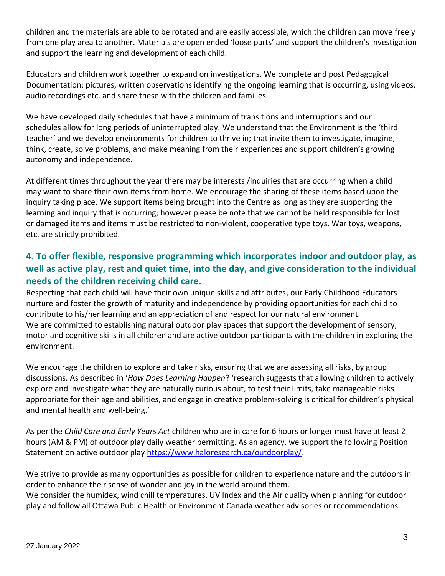children and the materials are able to be rotated and are easily accessible, which the children can move freely from one play area to another. Materials are open ended 'loose parts' and support the children's investigation and support the learning and development of each child.

Educators and children work together to expand on investigations. We complete and post Pedagogical Documentation: pictures, written observations identifying the ongoing learning that is occurring, using videos, audio recordings etc. and share these with the children and families.

We have developed daily schedules that have a minimum of transitions and interruptions and our schedules allow for long periods of uninterrupted play. We understand that the Environment is the 'third teacher' and we develop environments for children to thrive in; that invite them to investigate, imagine, think, create, solve problems, and make meaning from their experiences and support children's growing autonomy and independence.

At different times throughout the year there may be interests /inquiries that are occurring when a child may want to share their own items from home. We encourage the sharing of these items based upon the inquiry taking place. We support items being brought into the Centre as long as they are supporting the learning and inquiry that is occurring; however please be note that we cannot be held responsible for lost or damaged items and items must be restricted to non-violent, cooperative type toys. War toys, weapons, etc. are strictly prohibited.

## **4. To offer flexible, responsive programming which incorporates indoor and outdoor play, as well as active play, rest and quiet time, into the day, and give consideration to the individual needs of the children receiving child care.**

Respecting that each child will have their own unique skills and attributes, our Early Childhood Educators nurture and foster the growth of maturity and independence by providing opportunities for each child to contribute to his/her learning and an appreciation of and respect for our natural environment. We are committed to establishing natural outdoor play spaces that support the development of sensory, motor and cognitive skills in all children and are active outdoor participants with the children in exploring the environment.

We encourage the children to explore and take risks, ensuring that we are assessing all risks, by group discussions. As described in '*How Does Learning Happen*? 'research suggests that allowing children to actively explore and investigate what they are naturally curious about, to test their limits, take manageable risks appropriate for their age and abilities, and engage in creative problem-solving is critical for children's physical and mental health and well-being.'

As per the *Child Care and Early Years Act* children who are in care for 6 hours or longer must have at least 2 hours (AM & PM) of outdoor play daily weather permitting. As an agency, we support the following Position Statement on active outdoor play [https://www.haloresearch.ca/outdoorplay/.](https://www.haloresearch.ca/outdoorplay/)

We strive to provide as many opportunities as possible for children to experience nature and the outdoors in order to enhance their sense of wonder and joy in the world around them.

We consider the humidex, wind chill temperatures, UV Index and the Air quality when planning for outdoor play and follow all Ottawa Public Health or Environment Canada weather advisories or recommendations.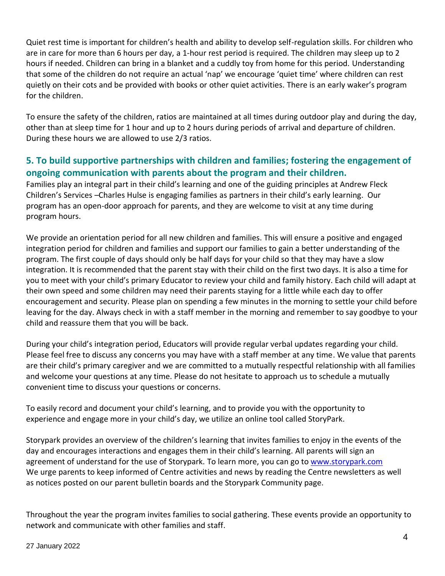Quiet rest time is important for children's health and ability to develop self-regulation skills. For children who are in care for more than 6 hours per day, a 1-hour rest period is required. The children may sleep up to 2 hours if needed. Children can bring in a blanket and a cuddly toy from home for this period. Understanding that some of the children do not require an actual 'nap' we encourage 'quiet time' where children can rest quietly on their cots and be provided with books or other quiet activities. There is an early waker's program for the children.

To ensure the safety of the children, ratios are maintained at all times during outdoor play and during the day, other than at sleep time for 1 hour and up to 2 hours during periods of arrival and departure of children. During these hours we are allowed to use 2/3 ratios.

### **5. To build supportive partnerships with children and families; fostering the engagement of ongoing communication with parents about the program and their children.**

Families play an integral part in their child's learning and one of the guiding principles at Andrew Fleck Children's Services –Charles Hulse is engaging families as partners in their child's early learning. Our program has an open-door approach for parents, and they are welcome to visit at any time during program hours.

We provide an orientation period for all new children and families. This will ensure a positive and engaged integration period for children and families and support our families to gain a better understanding of the program. The first couple of days should only be half days for your child so that they may have a slow integration. It is recommended that the parent stay with their child on the first two days. It is also a time for you to meet with your child's primary Educator to review your child and family history. Each child will adapt at their own speed and some children may need their parents staying for a little while each day to offer encouragement and security. Please plan on spending a few minutes in the morning to settle your child before leaving for the day. Always check in with a staff member in the morning and remember to say goodbye to your child and reassure them that you will be back.

During your child's integration period, Educators will provide regular verbal updates regarding your child. Please feel free to discuss any concerns you may have with a staff member at any time. We value that parents are their child's primary caregiver and we are committed to a mutually respectful relationship with all families and welcome your questions at any time. Please do not hesitate to approach us to schedule a mutually convenient time to discuss your questions or concerns.

To easily record and document your child's learning, and to provide you with the opportunity to experience and engage more in your child's day, we utilize an online tool called StoryPark.

Storypark provides an overview of the children's learning that invites families to enjoy in the events of the day and encourages interactions and engages them in their child's learning. All parents will sign an agreement of understand for the use of Storypark. To learn more, you can go to [www.storypark.com](http://www.storypark.com/) We urge parents to keep informed of Centre activities and news by reading the Centre newsletters as well as notices posted on our parent bulletin boards and the Storypark Community page.

Throughout the year the program invites families to social gathering. These events provide an opportunity to network and communicate with other families and staff.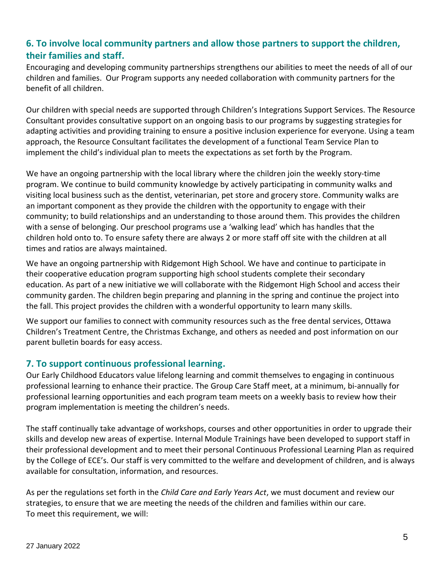### **6. To involve local community partners and allow those partners to support the children, their families and staff.**

Encouraging and developing community partnerships strengthens our abilities to meet the needs of all of our children and families. Our Program supports any needed collaboration with community partners for the benefit of all children.

Our children with special needs are supported through Children's Integrations Support Services. The Resource Consultant provides consultative support on an ongoing basis to our programs by suggesting strategies for adapting activities and providing training to ensure a positive inclusion experience for everyone. Using a team approach, the Resource Consultant facilitates the development of a functional Team Service Plan to implement the child's individual plan to meets the expectations as set forth by the Program.

We have an ongoing partnership with the local library where the children join the weekly story-time program. We continue to build community knowledge by actively participating in community walks and visiting local business such as the dentist, veterinarian, pet store and grocery store. Community walks are an important component as they provide the children with the opportunity to engage with their community; to build relationships and an understanding to those around them. This provides the children with a sense of belonging. Our preschool programs use a 'walking lead' which has handles that the children hold onto to. To ensure safety there are always 2 or more staff off site with the children at all times and ratios are always maintained.

We have an ongoing partnership with Ridgemont High School. We have and continue to participate in their cooperative education program supporting high school students complete their secondary education. As part of a new initiative we will collaborate with the Ridgemont High School and access their community garden. The children begin preparing and planning in the spring and continue the project into the fall. This project provides the children with a wonderful opportunity to learn many skills.

We support our families to connect with community resources such as the free dental services, Ottawa Children's Treatment Centre, the Christmas Exchange, and others as needed and post information on our parent bulletin boards for easy access.

#### **7. To support continuous professional learning.**

Our Early Childhood Educators value lifelong learning and commit themselves to engaging in continuous professional learning to enhance their practice. The Group Care Staff meet, at a minimum, bi-annually for professional learning opportunities and each program team meets on a weekly basis to review how their program implementation is meeting the children's needs.

The staff continually take advantage of workshops, courses and other opportunities in order to upgrade their skills and develop new areas of expertise. Internal Module Trainings have been developed to support staff in their professional development and to meet their personal Continuous Professional Learning Plan as required by the College of ECE's. Our staff is very committed to the welfare and development of children, and is always available for consultation, information, and resources.

As per the regulations set forth in the *Child Care and Early Years Act*, we must document and review our strategies, to ensure that we are meeting the needs of the children and families within our care. To meet this requirement, we will: